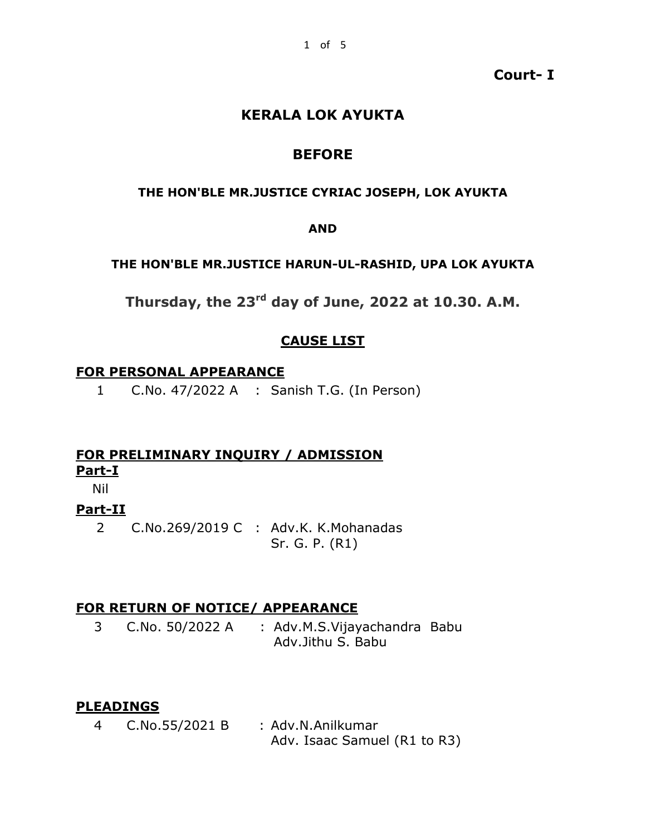### **Court- I**

# **KERALA LOK AYUKTA**

# **BEFORE**

### **THE HON'BLE MR.JUSTICE CYRIAC JOSEPH, LOK AYUKTA**

#### **AND**

#### **THE HON'BLE MR.JUSTICE HARUN-UL-RASHID, UPA LOK AYUKTA**

**Thursday, the 23rd day of June, 2022 at 10.30. A.M.**

# **CAUSE LIST**

#### **FOR PERSONAL APPEARANCE**

1 C.No. 47/2022 A : Sanish T.G. (In Person)

# **FOR PRELIMINARY INQUIRY / ADMISSION Part-I**

Nil

# **Part-II**

2 C.No.269/2019 C : Adv.K. K.Mohanadas Sr. G. P. (R1)

# **FOR RETURN OF NOTICE/ APPEARANCE**

3 C.No. 50/2022 A : Adv.M.S.Vijayachandra Babu Adv.Jithu S. Babu

### **PLEADINGS**

4 C.No.55/2021 B : Adv.N.Anilkumar Adv. Isaac Samuel (R1 to R3)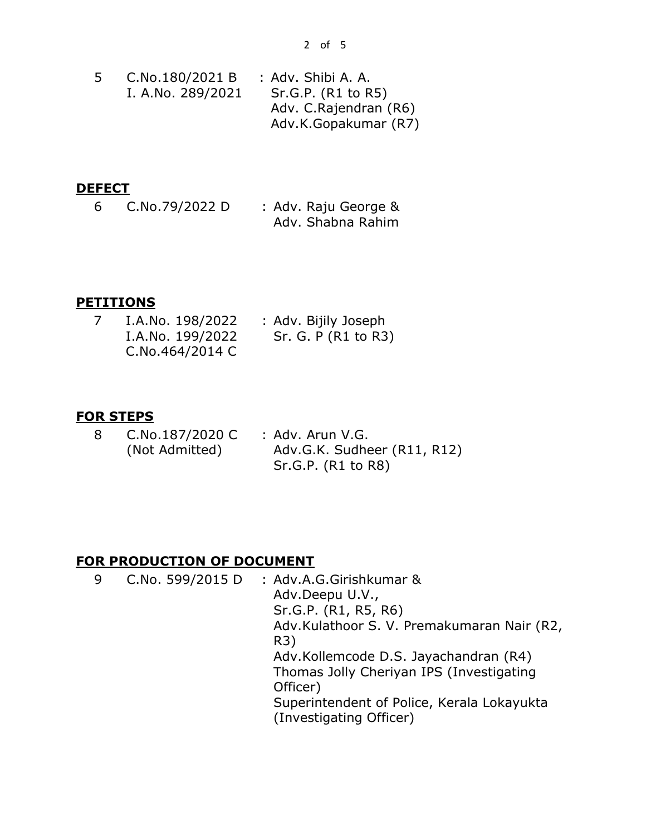|  | C.No.180/2021 B   | : Adv. Shibi A. A.     |
|--|-------------------|------------------------|
|  | I. A.No. 289/2021 | Sr.G.P. (R1 to R5)     |
|  |                   | Adv. C. Rajendran (R6) |
|  |                   | Adv.K.Gopakumar (R7)   |

# **DEFECT**

6 C.No.79/2022 D : Adv. Raju George & Adv. Shabna Rahim

### **PETITIONS**

| I.A.No. 198/2022 | : Adv. Bijily Joseph |
|------------------|----------------------|
| I.A.No. 199/2022 | Sr. G. P (R1 to R3)  |
| C.No.464/2014 C  |                      |

### **FOR STEPS**

| -8 | C.No.187/2020 C | : Adv. Arun V.G.            |
|----|-----------------|-----------------------------|
|    | (Not Admitted)  | Adv.G.K. Sudheer (R11, R12) |
|    |                 | Sr.G.P. (R1 to R8)          |

### **FOR PRODUCTION OF DOCUMENT**

| 9 |  | C.No. 599/2015 D | : Adv.A.G.Girishkumar &<br>Adv.Deepu U.V.,<br>Sr.G.P. (R1, R5, R6)<br>Adv.Kulathoor S. V. Premakumaran Nair (R2,<br>R3)<br>Adv.Kollemcode D.S. Jayachandran (R4)<br>Thomas Jolly Cheriyan IPS (Investigating<br>Officer)<br>Superintendent of Police, Kerala Lokayukta<br>(Investigating Officer) |
|---|--|------------------|---------------------------------------------------------------------------------------------------------------------------------------------------------------------------------------------------------------------------------------------------------------------------------------------------|
|---|--|------------------|---------------------------------------------------------------------------------------------------------------------------------------------------------------------------------------------------------------------------------------------------------------------------------------------------|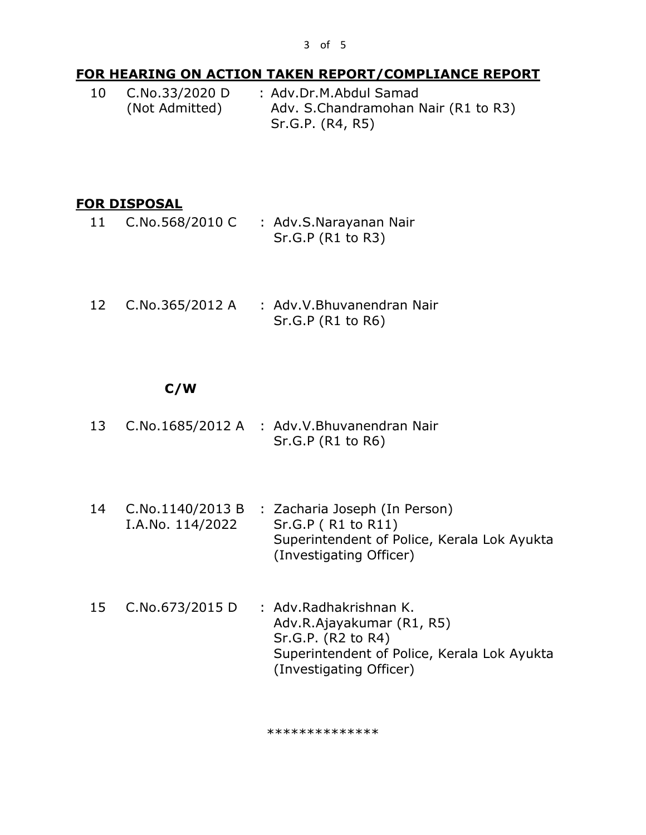# **FOR HEARING ON ACTION TAKEN REPORT/COMPLIANCE REPORT**

10 C.No.33/2020 D (Not Admitted) : Adv.Dr.M.Abdul Samad Adv. S.Chandramohan Nair (R1 to R3) Sr.G.P. (R4, R5)

# **FOR DISPOSAL**

- 11 C.No.568/2010 C : Adv.S.Narayanan Nair Sr.G.P (R1 to R3)
- 12 C.No.365/2012 A : Adv.V.Bhuvanendran Nair Sr.G.P (R1 to R6)

# **C/W**

- 13 C.No.1685/2012 A : Adv.V.Bhuvanendran Nair Sr.G.P (R1 to R6)
- 14 C.No.1140/2013 B : Zacharia Joseph (In Person) I.A.No. 114/2022 Sr.G.P ( R1 to R11) Superintendent of Police, Kerala Lok Ayukta (Investigating Officer)
- 15 C.No.673/2015 D : Adv.Radhakrishnan K. Adv.R.Ajayakumar (R1, R5) Sr.G.P. (R2 to R4) Superintendent of Police, Kerala Lok Ayukta (Investigating Officer)

\*\*\*\*\*\*\*\*\*\*\*\*\*\*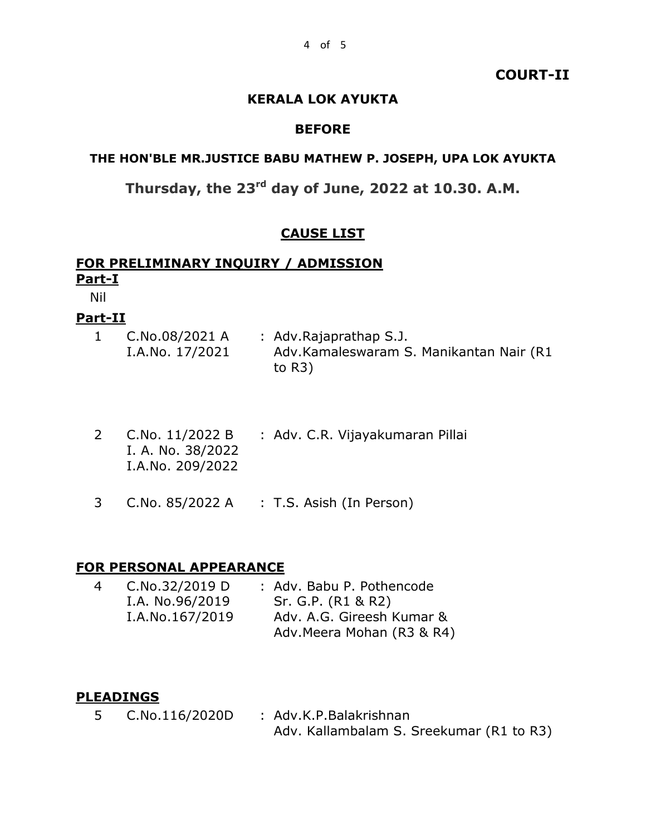#### **COURT-II**

### **KERALA LOK AYUKTA**

#### **BEFORE**

### **THE HON'BLE MR.JUSTICE BABU MATHEW P. JOSEPH, UPA LOK AYUKTA**

# **Thursday, the 23rd day of June, 2022 at 10.30. A.M.**

### **CAUSE LIST**

### **FOR PRELIMINARY INQUIRY / ADMISSION Part-I**

Nil

### **Part-II**

| C.No.08/2021 A  | : Adv.Rajaprathap S.J.                  |
|-----------------|-----------------------------------------|
| I.A.No. 17/2021 | Adv.Kamaleswaram S. Manikantan Nair (R1 |
|                 | to $R3)$                                |

- 2 C.No. 11/2022 B I. A. No. 38/2022 I.A.No. 209/2022 : Adv. C.R. Vijayakumaran Pillai
- 3 C.No. 85/2022 A : T.S. Asish (In Person)

# **FOR PERSONAL APPEARANCE**

| 4 | C.No.32/2019 D  | : Adv. Babu P. Pothencode  |
|---|-----------------|----------------------------|
|   | I.A. No.96/2019 | Sr. G.P. (R1 & R2)         |
|   | I.A.No.167/2019 | Adv. A.G. Gireesh Kumar &  |
|   |                 | Adv. Meera Mohan (R3 & R4) |

#### **PLEADINGS**

5 C.No.116/2020D : Adv.K.P.Balakrishnan Adv. Kallambalam S. Sreekumar (R1 to R3)